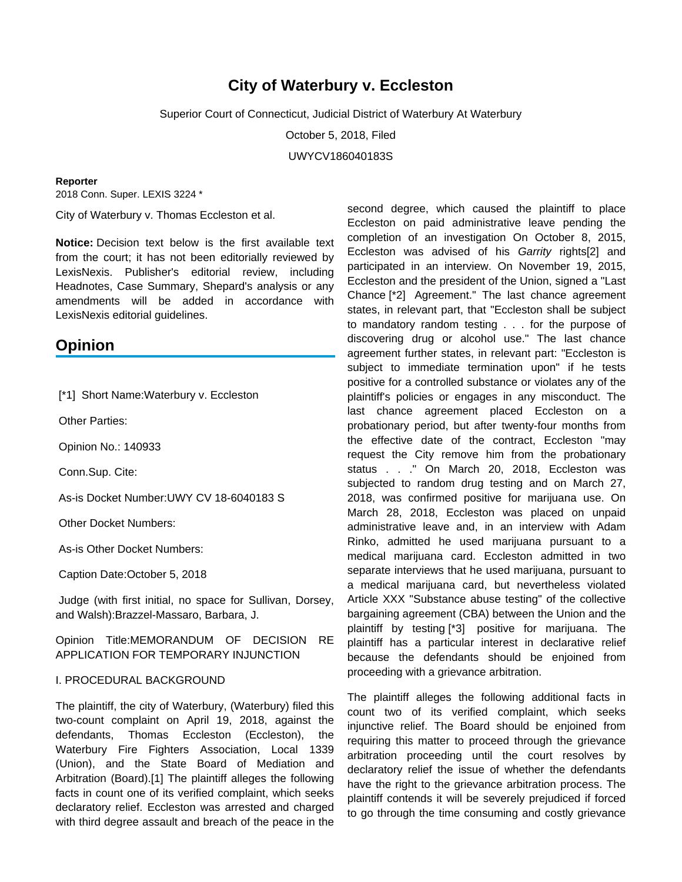# **City of Waterbury v. Eccleston**

Superior Court of Connecticut, Judicial District of Waterbury At Waterbury

October 5, 2018, Filed

UWYCV186040183S

#### **Reporter**

2018 Conn. Super. LEXIS 3224 \*

City of Waterbury v. Thomas Eccleston et al.

**Notice:** Decision text below is the first available text from the court; it has not been editorially reviewed by LexisNexis. Publisher's editorial review, including Headnotes, Case Summary, Shepard's analysis or any amendments will be added in accordance with LexisNexis editorial quidelines.

## **Opinion**

[\*1] Short Name: Waterbury v. Eccleston

Other Parties:

Opinion No.: 140933

Conn.Sup. Cite:

As-is Docket Number:UWY CV 18-6040183 S

Other Docket Numbers:

As-is Other Docket Numbers:

Caption Date:October 5, 2018

 Judge (with first initial, no space for Sullivan, Dorsey, and Walsh):Brazzel-Massaro, Barbara, J.

## Opinion Title:MEMORANDUM OF DECISION RE APPLICATION FOR TEMPORARY INJUNCTION

### I. PROCEDURAL BACKGROUND

The plaintiff, the city of Waterbury, (Waterbury) filed this two-count complaint on April 19, 2018, against the defendants, Thomas Eccleston (Eccleston), the Waterbury Fire Fighters Association, Local 1339 (Union), and the State Board of Mediation and Arbitration (Board).[1] The plaintiff alleges the following facts in count one of its verified complaint, which seeks declaratory relief. Eccleston was arrested and charged with third degree assault and breach of the peace in the

second degree, which caused the plaintiff to place Eccleston on paid administrative leave pending the completion of an investigation On October 8, 2015, Eccleston was advised of his Garrity rights<sup>[2]</sup> and participated in an interview. On November 19, 2015, Eccleston and the president of the Union, signed a "Last Chance [\*2] Agreement." The last chance agreement states, in relevant part, that "Eccleston shall be subject to mandatory random testing . . . for the purpose of discovering drug or alcohol use." The last chance agreement further states, in relevant part: "Eccleston is subject to immediate termination upon" if he tests positive for a controlled substance or violates any of the plaintiff's policies or engages in any misconduct. The last chance agreement placed Eccleston on a probationary period, but after twenty-four months from the effective date of the contract, Eccleston "may request the City remove him from the probationary status . . ." On March 20, 2018, Eccleston was subjected to random drug testing and on March 27, 2018, was confirmed positive for marijuana use. On March 28, 2018, Eccleston was placed on unpaid administrative leave and, in an interview with Adam Rinko, admitted he used marijuana pursuant to a medical marijuana card. Eccleston admitted in two separate interviews that he used marijuana, pursuant to a medical marijuana card, but nevertheless violated Article XXX "Substance abuse testing" of the collective bargaining agreement (CBA) between the Union and the plaintiff by testing [\*3] positive for marijuana. The plaintiff has a particular interest in declarative relief because the defendants should be enjoined from proceeding with a grievance arbitration.

The plaintiff alleges the following additional facts in count two of its verified complaint, which seeks injunctive relief. The Board should be enjoined from requiring this matter to proceed through the grievance arbitration proceeding until the court resolves by declaratory relief the issue of whether the defendants have the right to the grievance arbitration process. The plaintiff contends it will be severely prejudiced if forced to go through the time consuming and costly grievance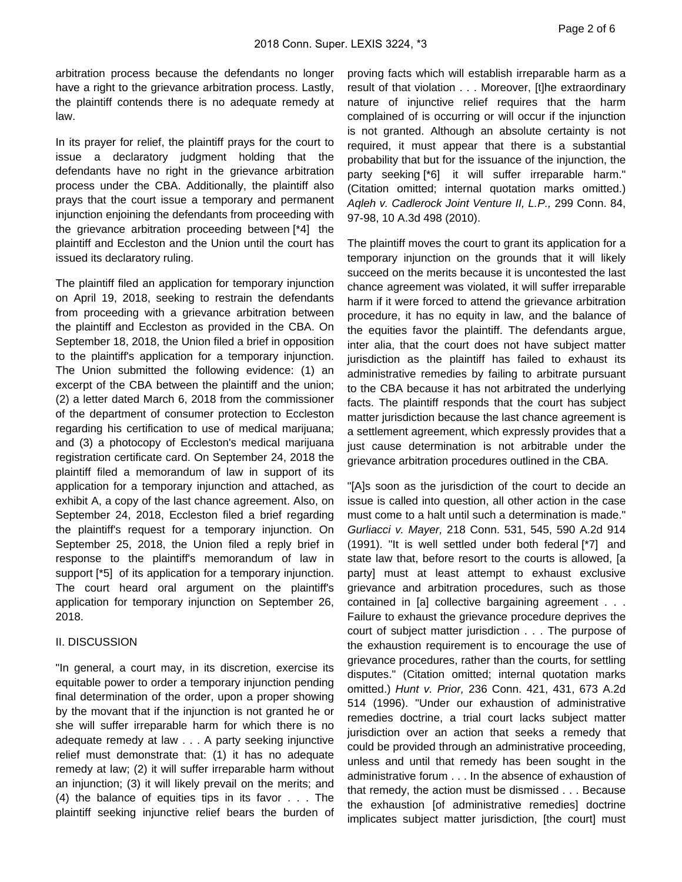arbitration process because the defendants no longer have a right to the grievance arbitration process. Lastly, the plaintiff contends there is no adequate remedy at law.

In its prayer for relief, the plaintiff prays for the court to issue a declaratory judgment holding that the defendants have no right in the grievance arbitration process under the CBA. Additionally, the plaintiff also prays that the court issue a temporary and permanent injunction enjoining the defendants from proceeding with the grievance arbitration proceeding between [\*4] the plaintiff and Eccleston and the Union until the court has issued its declaratory ruling.

The plaintiff filed an application for temporary injunction on April 19, 2018, seeking to restrain the defendants from proceeding with a grievance arbitration between the plaintiff and Eccleston as provided in the CBA. On September 18, 2018, the Union filed a brief in opposition to the plaintiff's application for a temporary injunction. The Union submitted the following evidence: (1) an excerpt of the CBA between the plaintiff and the union; (2) a letter dated March 6, 2018 from the commissioner of the department of consumer protection to Eccleston regarding his certification to use of medical marijuana; and (3) a photocopy of Eccleston's medical marijuana registration certificate card. On September 24, 2018 the plaintiff filed a memorandum of law in support of its application for a temporary injunction and attached, as exhibit A, a copy of the last chance agreement. Also, on September 24, 2018, Eccleston filed a brief regarding the plaintiff's request for a temporary injunction. On September 25, 2018, the Union filed a reply brief in response to the plaintiff's memorandum of law in support [\*5] of its application for a temporary injunction. The court heard oral argument on the plaintiff's application for temporary injunction on September 26, 2018.

## II. DISCUSSION

"In general, a court may, in its discretion, exercise its equitable power to order a temporary injunction pending final determination of the order, upon a proper showing by the movant that if the injunction is not granted he or she will suffer irreparable harm for which there is no adequate remedy at law . . . A party seeking injunctive relief must demonstrate that: (1) it has no adequate remedy at law; (2) it will suffer irreparable harm without an injunction; (3) it will likely prevail on the merits; and (4) the balance of equities tips in its favor . . . The plaintiff seeking injunctive relief bears the burden of

proving facts which will establish irreparable harm as a result of that violation . . . Moreover, [t]he extraordinary nature of injunctive relief requires that the harm complained of is occurring or will occur if the injunction is not granted. Although an absolute certainty is not required, it must appear that there is a substantial probability that but for the issuance of the injunction, the party seeking [\*6] it will suffer irreparable harm." (Citation omitted; internal quotation marks omitted.) Aqleh v. Cadlerock Joint Venture II, L.P., 299 Conn. 84, 97-98, 10 A.3d 498 (2010).

The plaintiff moves the court to grant its application for a temporary injunction on the grounds that it will likely succeed on the merits because it is uncontested the last chance agreement was violated, it will suffer irreparable harm if it were forced to attend the grievance arbitration procedure, it has no equity in law, and the balance of the equities favor the plaintiff. The defendants argue, inter alia, that the court does not have subject matter jurisdiction as the plaintiff has failed to exhaust its administrative remedies by failing to arbitrate pursuant to the CBA because it has not arbitrated the underlying facts. The plaintiff responds that the court has subject matter jurisdiction because the last chance agreement is a settlement agreement, which expressly provides that a just cause determination is not arbitrable under the grievance arbitration procedures outlined in the CBA.

"[A]s soon as the jurisdiction of the court to decide an issue is called into question, all other action in the case must come to a halt until such a determination is made." Gurliacci v. Mayer, 218 Conn. 531, 545, 590 A.2d 914 (1991). "It is well settled under both federal [\*7] and state law that, before resort to the courts is allowed, [a party] must at least attempt to exhaust exclusive grievance and arbitration procedures, such as those contained in [a] collective bargaining agreement . . . Failure to exhaust the grievance procedure deprives the court of subject matter jurisdiction . . . The purpose of the exhaustion requirement is to encourage the use of grievance procedures, rather than the courts, for settling disputes." (Citation omitted; internal quotation marks omitted.) Hunt v. Prior, 236 Conn. 421, 431, 673 A.2d 514 (1996). "Under our exhaustion of administrative remedies doctrine, a trial court lacks subject matter jurisdiction over an action that seeks a remedy that could be provided through an administrative proceeding, unless and until that remedy has been sought in the administrative forum . . . In the absence of exhaustion of that remedy, the action must be dismissed . . . Because the exhaustion [of administrative remedies] doctrine implicates subject matter jurisdiction, [the court] must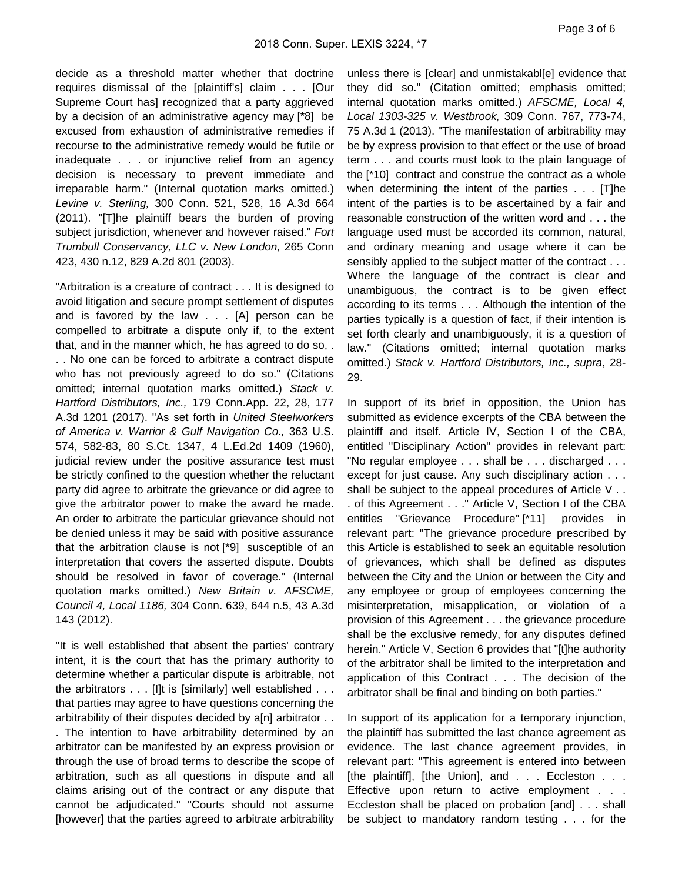decide as a threshold matter whether that doctrine requires dismissal of the [plaintiff's] claim . . . [Our Supreme Court has] recognized that a party aggrieved by a decision of an administrative agency may [\*8] be excused from exhaustion of administrative remedies if recourse to the administrative remedy would be futile or inadequate . . . or injunctive relief from an agency decision is necessary to prevent immediate and irreparable harm." (Internal quotation marks omitted.) Levine v. Sterling, 300 Conn. 521, 528, 16 A.3d 664 (2011). "[T]he plaintiff bears the burden of proving subject jurisdiction, whenever and however raised." Fort Trumbull Conservancy, LLC v. New London, 265 Conn 423, 430 n.12, 829 A.2d 801 (2003).

"Arbitration is a creature of contract . . . It is designed to avoid litigation and secure prompt settlement of disputes and is favored by the law . . . [A] person can be compelled to arbitrate a dispute only if, to the extent that, and in the manner which, he has agreed to do so, . . . No one can be forced to arbitrate a contract dispute who has not previously agreed to do so." (Citations omitted; internal quotation marks omitted.) Stack v. Hartford Distributors, Inc., 179 Conn.App. 22, 28, 177 A.3d 1201 (2017). "As set forth in United Steelworkers of America v. Warrior & Gulf Navigation Co., 363 U.S. 574, 582-83, 80 S.Ct. 1347, 4 L.Ed.2d 1409 (1960), judicial review under the positive assurance test must be strictly confined to the question whether the reluctant party did agree to arbitrate the grievance or did agree to give the arbitrator power to make the award he made. An order to arbitrate the particular grievance should not be denied unless it may be said with positive assurance that the arbitration clause is not [\*9] susceptible of an interpretation that covers the asserted dispute. Doubts should be resolved in favor of coverage." (Internal quotation marks omitted.) New Britain v. AFSCME, Council 4, Local 1186, 304 Conn. 639, 644 n.5, 43 A.3d 143 (2012).

"It is well established that absent the parties' contrary intent, it is the court that has the primary authority to determine whether a particular dispute is arbitrable, not the arbitrators . . . [I]t is [similarly] well established . . . that parties may agree to have questions concerning the arbitrability of their disputes decided by a[n] arbitrator . .

. The intention to have arbitrability determined by an arbitrator can be manifested by an express provision or through the use of broad terms to describe the scope of arbitration, such as all questions in dispute and all claims arising out of the contract or any dispute that cannot be adjudicated." "Courts should not assume [however] that the parties agreed to arbitrate arbitrability

unless there is [clear] and unmistakabl[e] evidence that they did so." (Citation omitted; emphasis omitted; internal quotation marks omitted.) AFSCME, Local 4, Local 1303-325 v. Westbrook, 309 Conn. 767, 773-74, 75 A.3d 1 (2013). "The manifestation of arbitrability may be by express provision to that effect or the use of broad term . . . and courts must look to the plain language of the [\*10] contract and construe the contract as a whole when determining the intent of the parties . . . [T]he intent of the parties is to be ascertained by a fair and reasonable construction of the written word and . . . the language used must be accorded its common, natural, and ordinary meaning and usage where it can be sensibly applied to the subject matter of the contract . . . Where the language of the contract is clear and unambiguous, the contract is to be given effect according to its terms . . . Although the intention of the parties typically is a question of fact, if their intention is set forth clearly and unambiguously, it is a question of law." (Citations omitted; internal quotation marks omitted.) Stack v. Hartford Distributors, Inc., supra, 28- 29.

In support of its brief in opposition, the Union has submitted as evidence excerpts of the CBA between the plaintiff and itself. Article IV, Section I of the CBA, entitled "Disciplinary Action" provides in relevant part: "No regular employee . . . shall be . . . discharged . . . except for just cause. Any such disciplinary action . . . shall be subject to the appeal procedures of Article V . . . of this Agreement . . ." Article V, Section I of the CBA entitles "Grievance Procedure" [\*11] provides in relevant part: "The grievance procedure prescribed by this Article is established to seek an equitable resolution of grievances, which shall be defined as disputes between the City and the Union or between the City and any employee or group of employees concerning the misinterpretation, misapplication, or violation of a provision of this Agreement . . . the grievance procedure shall be the exclusive remedy, for any disputes defined herein." Article V, Section 6 provides that "[t]he authority of the arbitrator shall be limited to the interpretation and application of this Contract . . . The decision of the arbitrator shall be final and binding on both parties."

In support of its application for a temporary injunction, the plaintiff has submitted the last chance agreement as evidence. The last chance agreement provides, in relevant part: "This agreement is entered into between [the plaintiff], [the Union], and . . . Eccleston . . . Effective upon return to active employment . . . Eccleston shall be placed on probation [and] . . . shall be subject to mandatory random testing . . . for the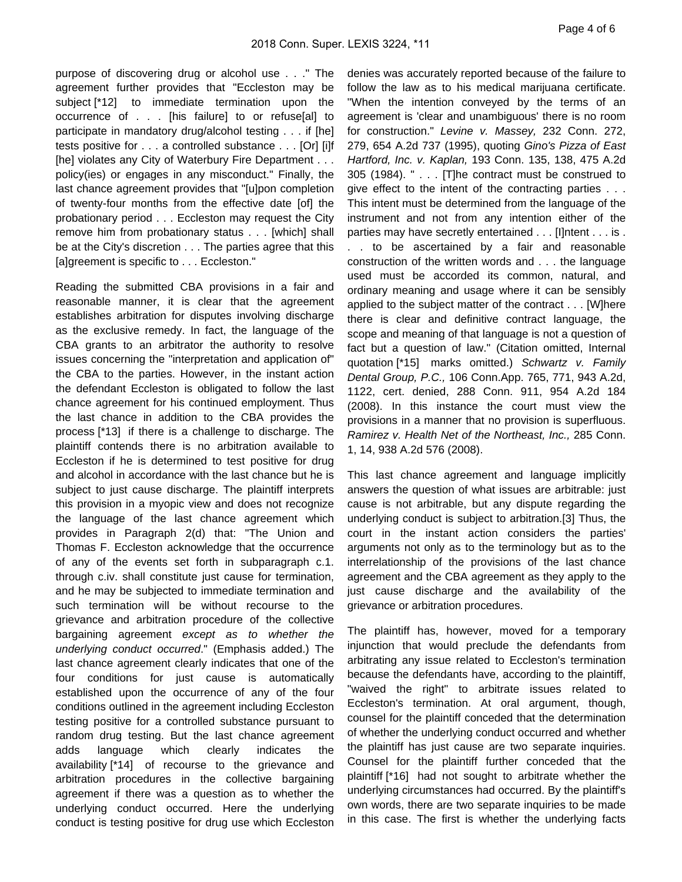purpose of discovering drug or alcohol use . . ." The agreement further provides that "Eccleston may be subject [\*12] to immediate termination upon the occurrence of . . . [his failure] to or refuse[al] to participate in mandatory drug/alcohol testing . . . if [he] tests positive for . . . a controlled substance . . . [Or] [i]f [he] violates any City of Waterbury Fire Department . . . policy(ies) or engages in any misconduct." Finally, the last chance agreement provides that "[u]pon completion of twenty-four months from the effective date [of] the probationary period . . . Eccleston may request the City remove him from probationary status . . . [which] shall be at the City's discretion . . . The parties agree that this [a]greement is specific to . . . Eccleston."

Reading the submitted CBA provisions in a fair and reasonable manner, it is clear that the agreement establishes arbitration for disputes involving discharge as the exclusive remedy. In fact, the language of the CBA grants to an arbitrator the authority to resolve issues concerning the "interpretation and application of" the CBA to the parties. However, in the instant action the defendant Eccleston is obligated to follow the last chance agreement for his continued employment. Thus the last chance in addition to the CBA provides the process [\*13] if there is a challenge to discharge. The plaintiff contends there is no arbitration available to Eccleston if he is determined to test positive for drug and alcohol in accordance with the last chance but he is subject to just cause discharge. The plaintiff interprets this provision in a myopic view and does not recognize the language of the last chance agreement which provides in Paragraph 2(d) that: "The Union and Thomas F. Eccleston acknowledge that the occurrence of any of the events set forth in subparagraph c.1. through c.iv. shall constitute just cause for termination, and he may be subjected to immediate termination and such termination will be without recourse to the grievance and arbitration procedure of the collective bargaining agreement except as to whether the underlying conduct occurred." (Emphasis added.) The last chance agreement clearly indicates that one of the four conditions for just cause is automatically established upon the occurrence of any of the four conditions outlined in the agreement including Eccleston testing positive for a controlled substance pursuant to random drug testing. But the last chance agreement adds language which clearly indicates the availability [\*14] of recourse to the grievance and arbitration procedures in the collective bargaining agreement if there was a question as to whether the underlying conduct occurred. Here the underlying conduct is testing positive for drug use which Eccleston

denies was accurately reported because of the failure to follow the law as to his medical marijuana certificate. "When the intention conveyed by the terms of an agreement is 'clear and unambiguous' there is no room for construction." Levine v. Massey, 232 Conn. 272, 279, 654 A.2d 737 (1995), quoting Gino's Pizza of East Hartford, Inc. v. Kaplan, 193 Conn. 135, 138, 475 A.2d 305 (1984). " . . . [T]he contract must be construed to give effect to the intent of the contracting parties . . . This intent must be determined from the language of the instrument and not from any intention either of the parties may have secretly entertained . . . [I]ntent . . . is . . . to be ascertained by a fair and reasonable construction of the written words and . . . the language used must be accorded its common, natural, and ordinary meaning and usage where it can be sensibly applied to the subject matter of the contract . . . [W]here there is clear and definitive contract language, the scope and meaning of that language is not a question of fact but a question of law." (Citation omitted, Internal quotation [\*15] marks omitted.) Schwartz v. Family Dental Group, P.C., 106 Conn.App. 765, 771, 943 A.2d, 1122, cert. denied, 288 Conn. 911, 954 A.2d 184 (2008). In this instance the court must view the provisions in a manner that no provision is superfluous. Ramirez v. Health Net of the Northeast, Inc., 285 Conn. 1, 14, 938 A.2d 576 (2008).

This last chance agreement and language implicitly answers the question of what issues are arbitrable: just cause is not arbitrable, but any dispute regarding the underlying conduct is subject to arbitration.[3] Thus, the court in the instant action considers the parties' arguments not only as to the terminology but as to the interrelationship of the provisions of the last chance agreement and the CBA agreement as they apply to the just cause discharge and the availability of the grievance or arbitration procedures.

The plaintiff has, however, moved for a temporary injunction that would preclude the defendants from arbitrating any issue related to Eccleston's termination because the defendants have, according to the plaintiff, "waived the right" to arbitrate issues related to Eccleston's termination. At oral argument, though, counsel for the plaintiff conceded that the determination of whether the underlying conduct occurred and whether the plaintiff has just cause are two separate inquiries. Counsel for the plaintiff further conceded that the plaintiff [\*16] had not sought to arbitrate whether the underlying circumstances had occurred. By the plaintiff's own words, there are two separate inquiries to be made in this case. The first is whether the underlying facts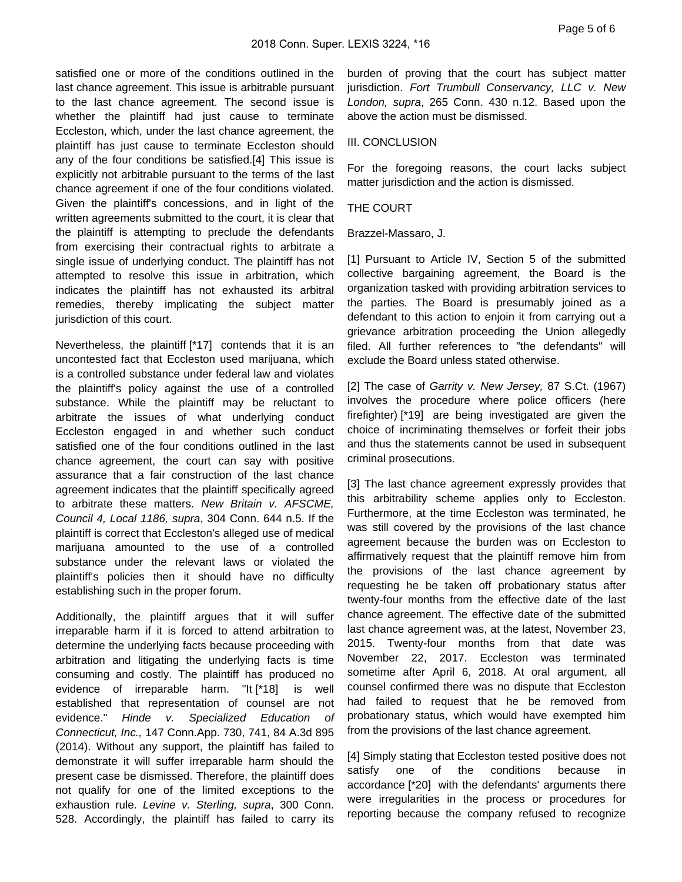satisfied one or more of the conditions outlined in the last chance agreement. This issue is arbitrable pursuant to the last chance agreement. The second issue is whether the plaintiff had just cause to terminate Eccleston, which, under the last chance agreement, the plaintiff has just cause to terminate Eccleston should any of the four conditions be satisfied.[4] This issue is explicitly not arbitrable pursuant to the terms of the last chance agreement if one of the four conditions violated. Given the plaintiff's concessions, and in light of the written agreements submitted to the court, it is clear that the plaintiff is attempting to preclude the defendants from exercising their contractual rights to arbitrate a single issue of underlying conduct. The plaintiff has not attempted to resolve this issue in arbitration, which indicates the plaintiff has not exhausted its arbitral remedies, thereby implicating the subject matter jurisdiction of this court.

Nevertheless, the plaintiff [\*17] contends that it is an uncontested fact that Eccleston used marijuana, which is a controlled substance under federal law and violates the plaintiff's policy against the use of a controlled substance. While the plaintiff may be reluctant to arbitrate the issues of what underlying conduct Eccleston engaged in and whether such conduct satisfied one of the four conditions outlined in the last chance agreement, the court can say with positive assurance that a fair construction of the last chance agreement indicates that the plaintiff specifically agreed to arbitrate these matters. New Britain v. AFSCME, Council 4, Local 1186, supra, 304 Conn. 644 n.5. If the plaintiff is correct that Eccleston's alleged use of medical marijuana amounted to the use of a controlled substance under the relevant laws or violated the plaintiff's policies then it should have no difficulty establishing such in the proper forum.

Additionally, the plaintiff argues that it will suffer irreparable harm if it is forced to attend arbitration to determine the underlying facts because proceeding with arbitration and litigating the underlying facts is time consuming and costly. The plaintiff has produced no evidence of irreparable harm. "It [\*18] is well established that representation of counsel are not evidence." Hinde v. Specialized Education of Connecticut, Inc., 147 Conn.App. 730, 741, 84 A.3d 895 (2014). Without any support, the plaintiff has failed to demonstrate it will suffer irreparable harm should the present case be dismissed. Therefore, the plaintiff does not qualify for one of the limited exceptions to the exhaustion rule. Levine v. Sterling, supra, 300 Conn. 528. Accordingly, the plaintiff has failed to carry its

burden of proving that the court has subject matter jurisdiction. Fort Trumbull Conservancy, LLC v. New London, supra, 265 Conn. 430 n.12. Based upon the above the action must be dismissed.

#### III. CONCLUSION

For the foregoing reasons, the court lacks subject matter jurisdiction and the action is dismissed.

#### THE COURT

Brazzel-Massaro, J.

[1] Pursuant to Article IV, Section 5 of the submitted collective bargaining agreement, the Board is the organization tasked with providing arbitration services to the parties. The Board is presumably joined as a defendant to this action to enjoin it from carrying out a grievance arbitration proceeding the Union allegedly filed. All further references to "the defendants" will exclude the Board unless stated otherwise.

[2] The case of Garrity v. New Jersey, 87 S.Ct. (1967) involves the procedure where police officers (here firefighter) [\*19] are being investigated are given the choice of incriminating themselves or forfeit their jobs and thus the statements cannot be used in subsequent criminal prosecutions.

[3] The last chance agreement expressly provides that this arbitrability scheme applies only to Eccleston. Furthermore, at the time Eccleston was terminated, he was still covered by the provisions of the last chance agreement because the burden was on Eccleston to affirmatively request that the plaintiff remove him from the provisions of the last chance agreement by requesting he be taken off probationary status after twenty-four months from the effective date of the last chance agreement. The effective date of the submitted last chance agreement was, at the latest, November 23, 2015. Twenty-four months from that date was November 22, 2017. Eccleston was terminated sometime after April 6, 2018. At oral argument, all counsel confirmed there was no dispute that Eccleston had failed to request that he be removed from probationary status, which would have exempted him from the provisions of the last chance agreement.

[4] Simply stating that Eccleston tested positive does not satisfy one of the conditions because in accordance [\*20] with the defendants' arguments there were irregularities in the process or procedures for reporting because the company refused to recognize